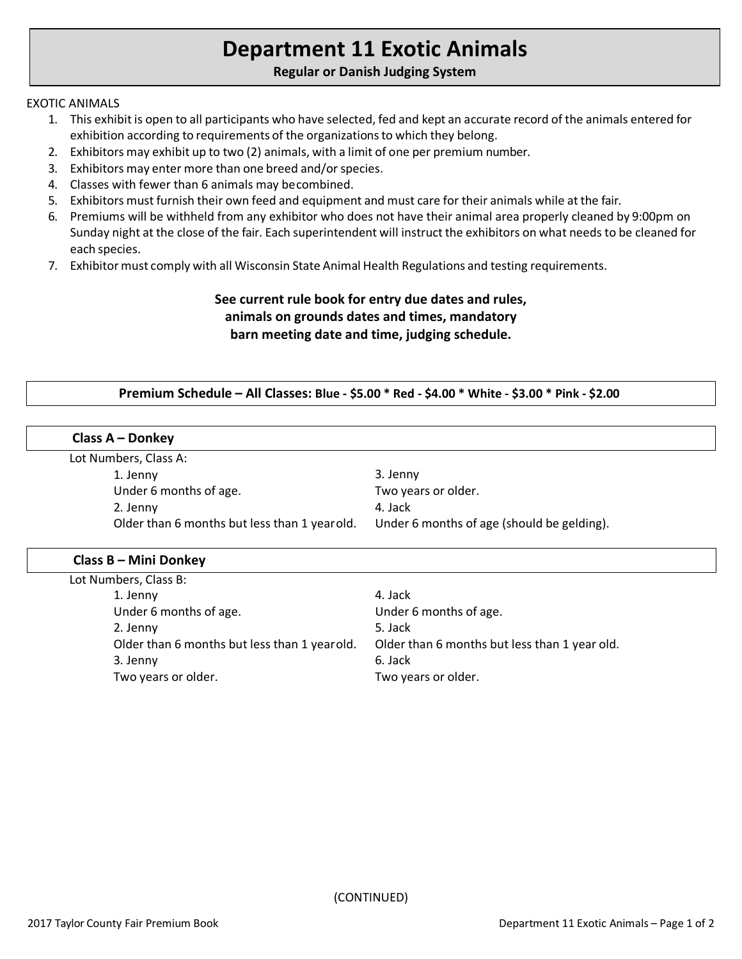# **Department 11 Exotic Animals**

# **Regular or Danish Judging System**

#### EXOTIC ANIMALS

- 1. This exhibit is open to all participants who have selected, fed and kept an accurate record of the animals entered for exhibition according to requirements of the organizations to which they belong.
- 2. Exhibitors may exhibit up to two (2) animals, with a limit of one per premium number.
- 3. Exhibitors may enter more than one breed and/or species.
- 4. Classes with fewer than 6 animals may becombined.
- 5. Exhibitors must furnish their own feed and equipment and must care for their animals while at the fair.
- 6. Premiums will be withheld from any exhibitor who does not have their animal area properly cleaned by 9:00pm on Sunday night at the close of the fair. Each superintendent will instruct the exhibitors on what needs to be cleaned for each species.
- 7. Exhibitor must comply with all Wisconsin State Animal Health Regulations and testing requirements.

# **See current rule book for entry due dates and rules, animals on grounds dates and times, mandatory barn meeting date and time, judging schedule.**

#### **Premium Schedule – All Classes: Blue - \$5.00 \* Red - \$4.00 \* White - \$3.00 \* Pink - \$2.00**

#### **Class A – Donkey**

Lot Numbers, Class A:

1. Jenny Under 6 months of age. 2. Jenny Older than 6 months but less than 1 yearold.

3. Jenny Two years or older. 4. Jack Under 6 months of age (should be gelding).

#### **Class B – Mini Donkey**

| Lot Numbers, Class B:                        |                                               |
|----------------------------------------------|-----------------------------------------------|
| 1. Jenny                                     | 4. Jack                                       |
| Under 6 months of age.                       | Under 6 months of age.                        |
| 2. Jenny                                     | 5. Jack                                       |
| Older than 6 months but less than 1 yearold. | Older than 6 months but less than 1 year old. |
| 3. Jenny                                     | 6. Jack                                       |
| Two years or older.                          | Two years or older.                           |
|                                              |                                               |